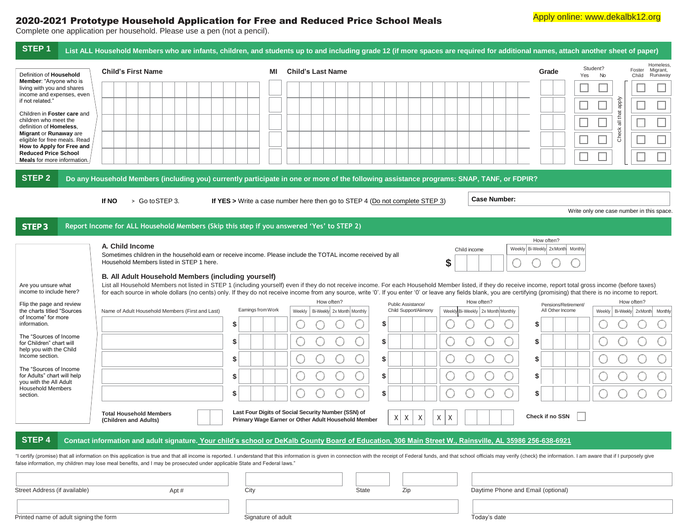## 2020-2021 Prototype Household Application for Free and Reduced Price School Meals

Complete one application per household. Please use a pen (not a pencil).

| STEP <sub>1</sub>                                                                                                                                                                                                                                   | List ALL Household Members who are infants, children, and students up to and including grade 12 (if more spaces are required for additional names, attach another sheet of paper)                                                                                                                                                                                                                                                           |                                                                                                                   |                    |    |                                                                                                            |  |              |       |    |        |   |                                                                                             |  |                     |  |                                    |            |                                           |                |          |                                        |                                  |
|-----------------------------------------------------------------------------------------------------------------------------------------------------------------------------------------------------------------------------------------------------|---------------------------------------------------------------------------------------------------------------------------------------------------------------------------------------------------------------------------------------------------------------------------------------------------------------------------------------------------------------------------------------------------------------------------------------------|-------------------------------------------------------------------------------------------------------------------|--------------------|----|------------------------------------------------------------------------------------------------------------|--|--------------|-------|----|--------|---|---------------------------------------------------------------------------------------------|--|---------------------|--|------------------------------------|------------|-------------------------------------------|----------------|----------|----------------------------------------|----------------------------------|
| Definition of Household                                                                                                                                                                                                                             | <b>Child's First Name</b>                                                                                                                                                                                                                                                                                                                                                                                                                   |                                                                                                                   |                    | ΜI | <b>Child's Last Name</b>                                                                                   |  |              |       |    |        |   |                                                                                             |  |                     |  |                                    | Grade      | Yes                                       | Student?<br>No |          | Foster<br>Child                        | Homeless.<br>Migrant,<br>Runaway |
| Member: "Anyone who is<br>living with you and shares<br>income and expenses, even<br>if not related."<br>Children in Foster care and<br>children who meet the<br>definition of Homeless,<br>Migrant or Runaway are<br>eligible for free meals. Read |                                                                                                                                                                                                                                                                                                                                                                                                                                             |                                                                                                                   |                    |    |                                                                                                            |  |              |       |    |        |   |                                                                                             |  |                     |  |                                    |            |                                           |                |          |                                        |                                  |
|                                                                                                                                                                                                                                                     |                                                                                                                                                                                                                                                                                                                                                                                                                                             |                                                                                                                   |                    |    |                                                                                                            |  |              |       |    |        |   |                                                                                             |  |                     |  |                                    |            |                                           |                | Aldde    |                                        |                                  |
|                                                                                                                                                                                                                                                     |                                                                                                                                                                                                                                                                                                                                                                                                                                             |                                                                                                                   |                    |    |                                                                                                            |  |              |       |    |        |   |                                                                                             |  |                     |  |                                    |            |                                           |                | all that |                                        |                                  |
|                                                                                                                                                                                                                                                     |                                                                                                                                                                                                                                                                                                                                                                                                                                             |                                                                                                                   |                    |    |                                                                                                            |  |              |       |    |        |   |                                                                                             |  |                     |  |                                    |            |                                           |                | Check    |                                        |                                  |
| How to Apply for Free and<br><b>Reduced Price School</b>                                                                                                                                                                                            |                                                                                                                                                                                                                                                                                                                                                                                                                                             |                                                                                                                   |                    |    |                                                                                                            |  |              |       |    |        |   |                                                                                             |  |                     |  |                                    |            |                                           |                |          |                                        |                                  |
| <b>Meals</b> for more information.                                                                                                                                                                                                                  |                                                                                                                                                                                                                                                                                                                                                                                                                                             |                                                                                                                   |                    |    |                                                                                                            |  |              |       |    |        |   |                                                                                             |  |                     |  |                                    |            |                                           |                |          |                                        |                                  |
| <b>STEP 2</b>                                                                                                                                                                                                                                       | Do any Household Members (including you) currently participate in one or more of the following assistance programs: SNAP, TANF, or FDPIR?                                                                                                                                                                                                                                                                                                   |                                                                                                                   |                    |    |                                                                                                            |  |              |       |    |        |   |                                                                                             |  |                     |  |                                    |            |                                           |                |          |                                        |                                  |
|                                                                                                                                                                                                                                                     | > Go to STEP 3.<br>If NO                                                                                                                                                                                                                                                                                                                                                                                                                    | If YES > Write a case number here then go to STEP 4 (Do not complete STEP 3)                                      |                    |    |                                                                                                            |  |              |       |    |        |   |                                                                                             |  | <b>Case Number:</b> |  |                                    |            |                                           |                |          |                                        |                                  |
|                                                                                                                                                                                                                                                     |                                                                                                                                                                                                                                                                                                                                                                                                                                             |                                                                                                                   |                    |    |                                                                                                            |  |              |       |    |        |   |                                                                                             |  |                     |  |                                    |            | Write only one case number in this space. |                |          |                                        |                                  |
| <b>STEP3</b>                                                                                                                                                                                                                                        | Report Income for ALL Household Members (Skip this step if you answered 'Yes' to STEP 2)                                                                                                                                                                                                                                                                                                                                                    |                                                                                                                   |                    |    |                                                                                                            |  |              |       |    |        |   |                                                                                             |  |                     |  |                                    |            |                                           |                |          |                                        |                                  |
|                                                                                                                                                                                                                                                     | A. Child Income                                                                                                                                                                                                                                                                                                                                                                                                                             |                                                                                                                   |                    |    |                                                                                                            |  |              |       |    |        |   |                                                                                             |  |                     |  | Weekly Bi-Weekly 2x Month Monthly  | How often? |                                           |                |          |                                        |                                  |
|                                                                                                                                                                                                                                                     | Household Members listed in STEP 1 here.                                                                                                                                                                                                                                                                                                                                                                                                    | Sometimes children in the household earn or receive income. Please include the TOTAL income received by all<br>\$ |                    |    |                                                                                                            |  | Child income |       |    |        |   |                                                                                             |  |                     |  |                                    |            |                                           |                |          |                                        |                                  |
|                                                                                                                                                                                                                                                     | B. All Adult Household Members (including yourself)                                                                                                                                                                                                                                                                                                                                                                                         |                                                                                                                   |                    |    |                                                                                                            |  |              |       |    |        |   |                                                                                             |  |                     |  |                                    |            |                                           |                |          |                                        |                                  |
| Are you unsure what<br>income to include here?                                                                                                                                                                                                      | List all Household Members not listed in STEP 1 (including yourself) even if they do not receive income. For each Household Member listed, if they do receive income, report total gross income (before taxes)<br>for each source in whole dollars (no cents) only. If they do not receive income from any source, write '0'. If you enter '0' or leave any fields blank, you are certifying (promising) that there is no income to report. |                                                                                                                   |                    |    |                                                                                                            |  |              |       |    |        |   |                                                                                             |  |                     |  |                                    |            |                                           |                |          |                                        |                                  |
| Flip the page and review                                                                                                                                                                                                                            | Earnings from Work                                                                                                                                                                                                                                                                                                                                                                                                                          |                                                                                                                   |                    |    | How often?<br>Public Assistance/<br>Child Support/Alimony<br>Bi-Weekly 2x Month Monthly                    |  |              |       |    |        |   | How often?<br>Pensions/Retirement/<br>Weekly Bi-Weekly 2x Month Monthly<br>All Other Income |  |                     |  |                                    | How often? |                                           |                |          |                                        |                                  |
| the charts titled "Sources<br>of Income" for more<br>information.<br>The "Sources of Income                                                                                                                                                         | Name of Adult Household Members (First and Last)                                                                                                                                                                                                                                                                                                                                                                                            | \$                                                                                                                |                    |    | Weekly                                                                                                     |  |              |       | S  |        |   |                                                                                             |  |                     |  | \$                                 |            |                                           |                |          | Weekly   Bi-Weekly   2xMonth   Monthly |                                  |
|                                                                                                                                                                                                                                                     |                                                                                                                                                                                                                                                                                                                                                                                                                                             | \$                                                                                                                |                    |    |                                                                                                            |  |              |       | S  |        |   |                                                                                             |  |                     |  | \$                                 |            |                                           |                |          |                                        |                                  |
| for Children" chart will<br>help you with the Child<br>Income section.                                                                                                                                                                              |                                                                                                                                                                                                                                                                                                                                                                                                                                             |                                                                                                                   |                    |    |                                                                                                            |  |              |       |    |        |   |                                                                                             |  |                     |  |                                    |            |                                           |                |          |                                        |                                  |
| The "Sources of Income                                                                                                                                                                                                                              |                                                                                                                                                                                                                                                                                                                                                                                                                                             | \$                                                                                                                |                    |    |                                                                                                            |  |              |       | \$ |        |   |                                                                                             |  |                     |  | \$                                 |            |                                           |                |          |                                        |                                  |
| for Adults" chart will help<br>you with the All Adult<br><b>Household Members</b>                                                                                                                                                                   |                                                                                                                                                                                                                                                                                                                                                                                                                                             | \$                                                                                                                |                    |    |                                                                                                            |  |              |       | \$ |        |   |                                                                                             |  |                     |  | \$                                 |            |                                           |                |          |                                        |                                  |
| section.                                                                                                                                                                                                                                            |                                                                                                                                                                                                                                                                                                                                                                                                                                             | \$                                                                                                                |                    |    |                                                                                                            |  |              |       | S  |        |   |                                                                                             |  |                     |  | \$                                 |            |                                           |                |          |                                        |                                  |
|                                                                                                                                                                                                                                                     | <b>Total Household Members</b><br>(Children and Adults)                                                                                                                                                                                                                                                                                                                                                                                     |                                                                                                                   |                    |    | Last Four Digits of Social Security Number (SSN) of<br>Primary Wage Earner or Other Adult Household Member |  |              |       | X  | X<br>X | X | Χ                                                                                           |  |                     |  | Check if no SSN                    |            |                                           |                |          |                                        |                                  |
|                                                                                                                                                                                                                                                     |                                                                                                                                                                                                                                                                                                                                                                                                                                             |                                                                                                                   |                    |    |                                                                                                            |  |              |       |    |        |   |                                                                                             |  |                     |  |                                    |            |                                           |                |          |                                        |                                  |
| STEP 4                                                                                                                                                                                                                                              | Contact information and adult signature. Your child's school or DeKalb County Board of Education, 306 Main Street W., Rainsville, AL 35986 256-638-6921                                                                                                                                                                                                                                                                                     |                                                                                                                   |                    |    |                                                                                                            |  |              |       |    |        |   |                                                                                             |  |                     |  |                                    |            |                                           |                |          |                                        |                                  |
|                                                                                                                                                                                                                                                     | "I certify (promise) that all information on this application is true and that all income is reported. I understand that this information is given in connection with the receipt of Federal funds, and that school officials<br>false information, my children may lose meal benefits, and I may be prosecuted under applicable State and Federal laws."                                                                                   |                                                                                                                   |                    |    |                                                                                                            |  |              |       |    |        |   |                                                                                             |  |                     |  |                                    |            |                                           |                |          |                                        |                                  |
|                                                                                                                                                                                                                                                     |                                                                                                                                                                                                                                                                                                                                                                                                                                             |                                                                                                                   |                    |    |                                                                                                            |  |              |       |    |        |   |                                                                                             |  |                     |  |                                    |            |                                           |                |          |                                        |                                  |
| Street Address (if available)                                                                                                                                                                                                                       | Apt#                                                                                                                                                                                                                                                                                                                                                                                                                                        |                                                                                                                   | City               |    |                                                                                                            |  |              | State |    | Zip    |   |                                                                                             |  |                     |  | Daytime Phone and Email (optional) |            |                                           |                |          |                                        |                                  |
|                                                                                                                                                                                                                                                     |                                                                                                                                                                                                                                                                                                                                                                                                                                             |                                                                                                                   |                    |    |                                                                                                            |  |              |       |    |        |   |                                                                                             |  |                     |  |                                    |            |                                           |                |          |                                        |                                  |
| Printed name of adult signing the form                                                                                                                                                                                                              |                                                                                                                                                                                                                                                                                                                                                                                                                                             |                                                                                                                   | Signature of adult |    |                                                                                                            |  |              |       |    |        |   |                                                                                             |  | Today's date        |  |                                    |            |                                           |                |          |                                        |                                  |